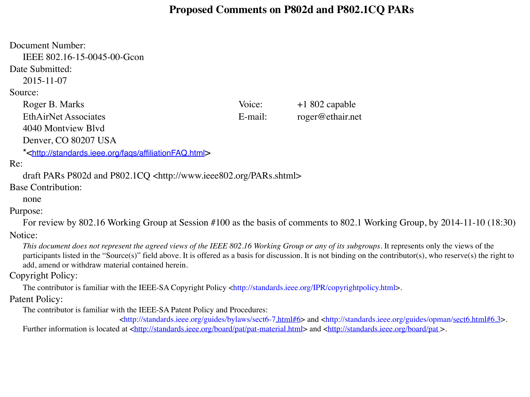#### **Proposed Comments on P802d and P802.1CQ PARs**

Document Number: IEEE 802.16-15-0045-00-Gcon Date Submitted: 2015-11-07 Source: Roger B. Marks Voice:  $+1802$  capable EthAirNet Associates E-mail: roger@ethair.net 4040 Montview Blvd Denver, CO 80207 USA \*[<http://standards.ieee.org/faqs/affiliationFAQ.html](http://standards.ieee.org/faqs/affiliationFAQ.html)> Re: draft PARs P802d and P802.1CQ <http://www.ieee802.org/PARs.shtml> Base Contribution: none Purpose: For review by 802.16 Working Group at Session #100 as the basis of comments to 802.1 Working Group, by 2014-11-10 (18:30) Notice:

*This document does not represent the agreed views of the IEEE 802.16 Working Group or any of its subgroups*. It represents only the views of the participants listed in the "Source(s)" field above. It is offered as a basis for discussion. It is not binding on the contributor(s), who reserve(s) the right to add, amend or withdraw material contained herein.

#### Copyright Policy:

The contributor is familiar with the IEEE-SA Copyright Policy <http://standards.ieee.org/IPR/copyrightpolicy.html>.

#### Patent Policy:

The contributor is familiar with the IEEE-SA Patent Policy and Procedures:

<http://standards.ieee.org/guides/bylaws/sect6-[7.html#6](http://standards.ieee.org/guides/bylaws/sect6-7.html%236)> and <http://standards.ieee.org/guides/opman[/sect6.html#6.3](http://standards.ieee.org/guides/opman/sect6.html%236.3)>. Further information is located at <http://standards.jeee.org/board/pat/pat-material.html> and <http://standards.jeee.org/board/pat>.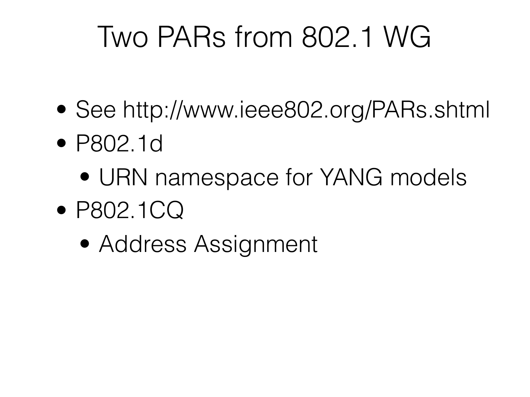## Two PARs from 802.1 WG

- See http://www.ieee802.org/PARs.shtml
- P802.1d
	- URN namespace for YANG models
- P802.1CQ
	- Address Assignment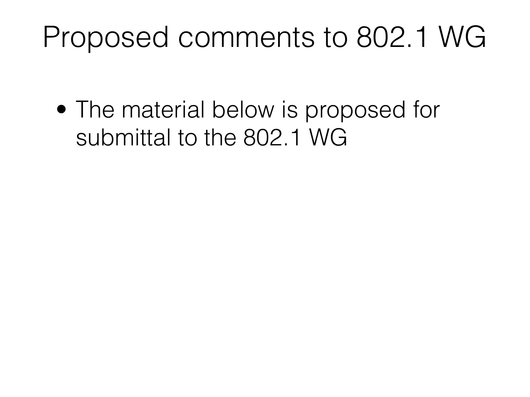## Proposed comments to 802.1 WG

• The material below is proposed for submittal to the 802.1 WG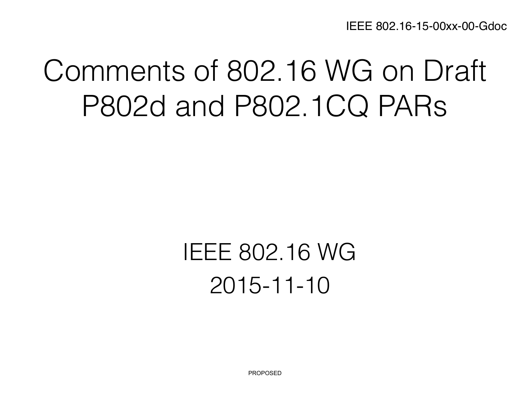IEEE 802.16-15-00xx-00-Gdoc

## Comments of 802.16 WG on Draft P802d and P802.1CQ PARs

## IEEE 802.16 WG 2015-11-10

**PROPOSED**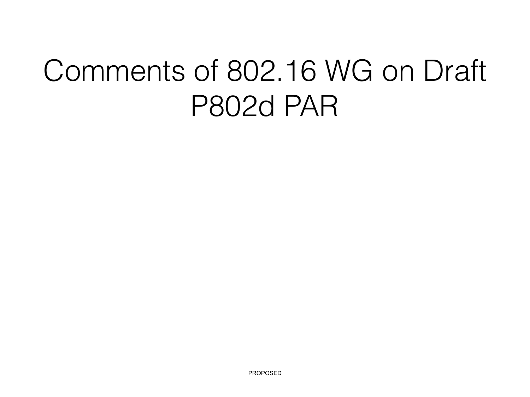# Comments of 802.16 WG on Draft P802d PAR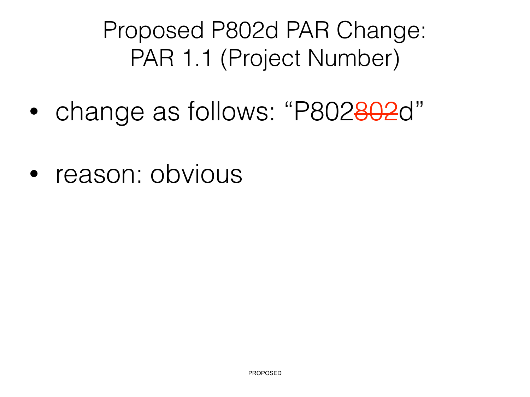#### Proposed P802d PAR Change: PAR 1.1 (Project Number)

- change as follows: "P802802d"
- reason: obvious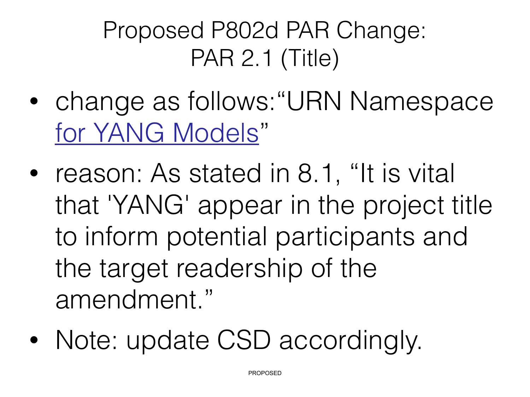## Proposed P802d PAR Change: PAR 2.1 (Title)

- change as follows:"URN Namespace for YANG Models"
- reason: As stated in 8.1, "It is vital that 'YANG' appear in the project title to inform potential participants and the target readership of the amendment."
- Note: update CSD accordingly.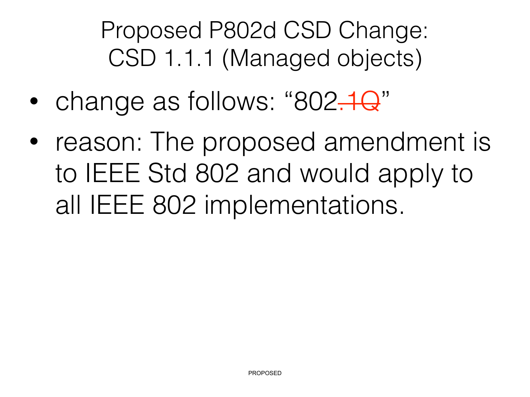Proposed P802d CSD Change: CSD 1.1.1 (Managed objects)

- change as follows: "802.1Q"
- reason: The proposed amendment is to IEEE Std 802 and would apply to all IEEE 802 implementations.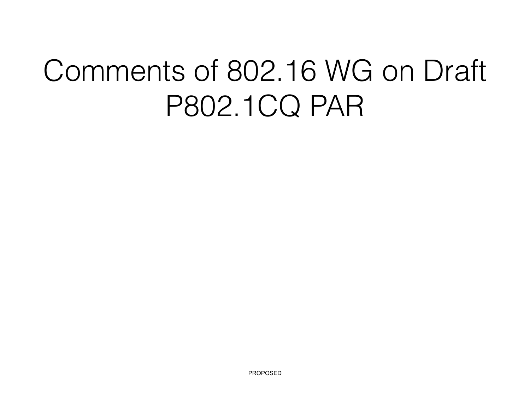# Comments of 802.16 WG on Draft P802.1CQ PAR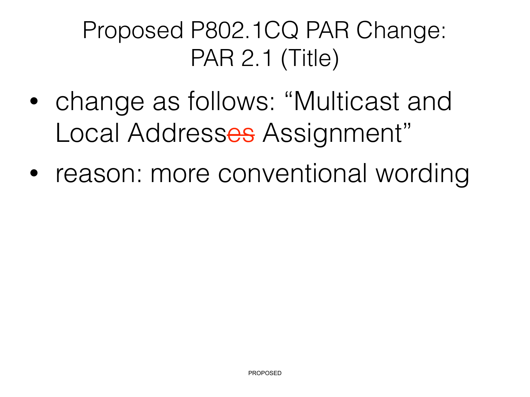## Proposed P802.1CQ PAR Change: PAR 2.1 (Title)

- change as follows: "Multicast and Local Addresses Assignment"
- reason: more conventional wording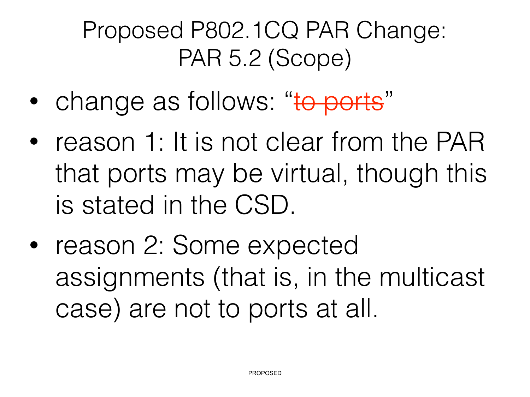## Proposed P802.1CQ PAR Change: PAR 5.2 (Scope)

- change as follows: "to ports"
- reason 1: It is not clear from the PAR that ports may be virtual, though this is stated in the CSD.
- reason 2: Some expected assignments (that is, in the multicast case) are not to ports at all.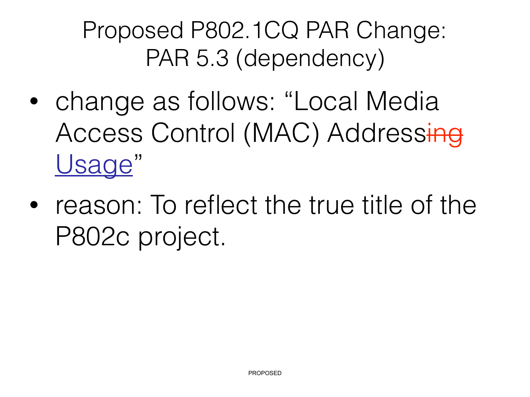Proposed P802.1CQ PAR Change: PAR 5.3 (dependency)

- change as follows: "Local Media Access Control (MAC) Addressing Usage"
- reason: To reflect the true title of the P802c project.